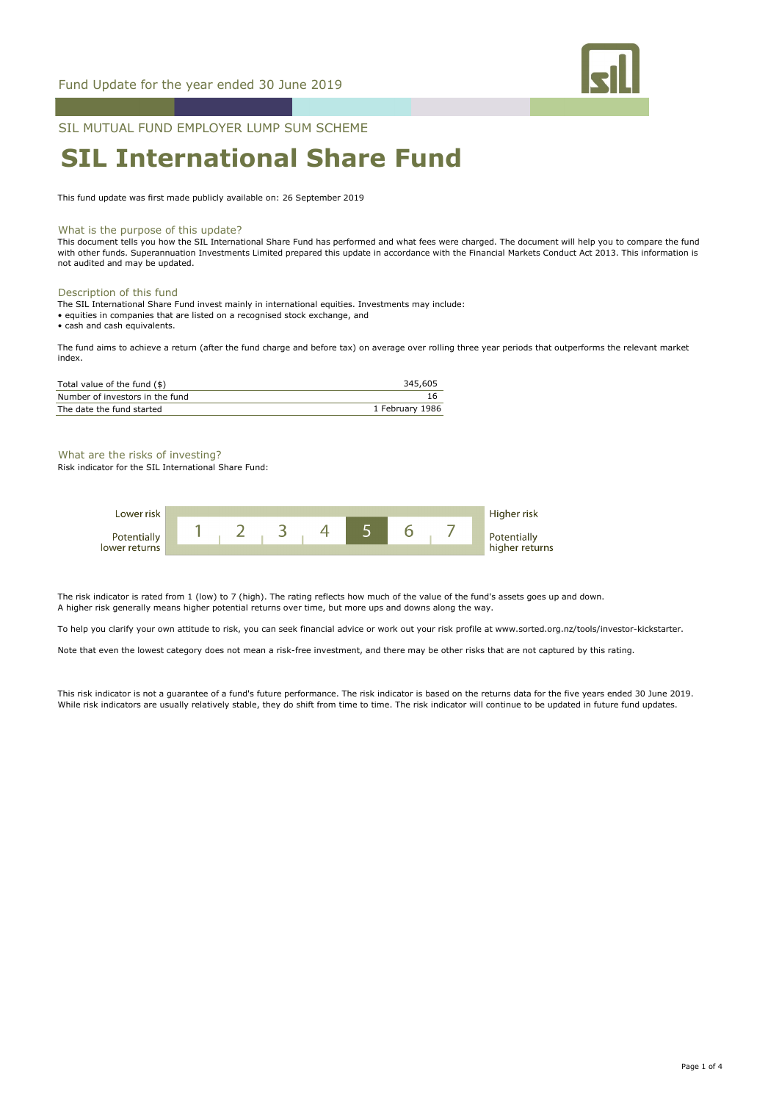

SIL MUTUAL FUND EMPLOYER LUMP SUM SCHEME

# **SIL International Share Fund**

This fund update was first made publicly available on: 26 September 2019

### What is the purpose of this update?

This document tells you how the SIL International Share Fund has performed and what fees were charged. The document will help you to compare the fund with other funds. Superannuation Investments Limited prepared this update in accordance with the Financial Markets Conduct Act 2013. This information is not audited and may be updated.

### Description of this fund

The SIL International Share Fund invest mainly in international equities. Investments may include:

• equities in companies that are listed on a recognised stock exchange, and

• cash and cash equivalents.

The fund aims to achieve a return (after the fund charge and before tax) on average over rolling three year periods that outperforms the relevant market index.

| Total value of the fund (\$)    | 345,605         |
|---------------------------------|-----------------|
| Number of investors in the fund |                 |
| The date the fund started       | 1 February 1986 |

### What are the risks of investing?

Risk indicator for the SIL International Share Fund:

| Lower risk    |  |  |  |  | Higher risk    |
|---------------|--|--|--|--|----------------|
| Potentially   |  |  |  |  | Potentially    |
| lower returns |  |  |  |  | higher returns |

The risk indicator is rated from 1 (low) to 7 (high). The rating reflects how much of the value of the fund's assets goes up and down. A higher risk generally means higher potential returns over time, but more ups and downs along the way.

To help you clarify your own attitude to risk, you can seek financial advice or work out your risk profile at www.sorted.org.nz/tools/investor-kickstarter.

Note that even the lowest category does not mean a risk-free investment, and there may be other risks that are not captured by this rating.

This risk indicator is not a guarantee of a fund's future performance. The risk indicator is based on the returns data for the five years ended 30 June 2019. While risk indicators are usually relatively stable, they do shift from time to time. The risk indicator will continue to be updated in future fund updates.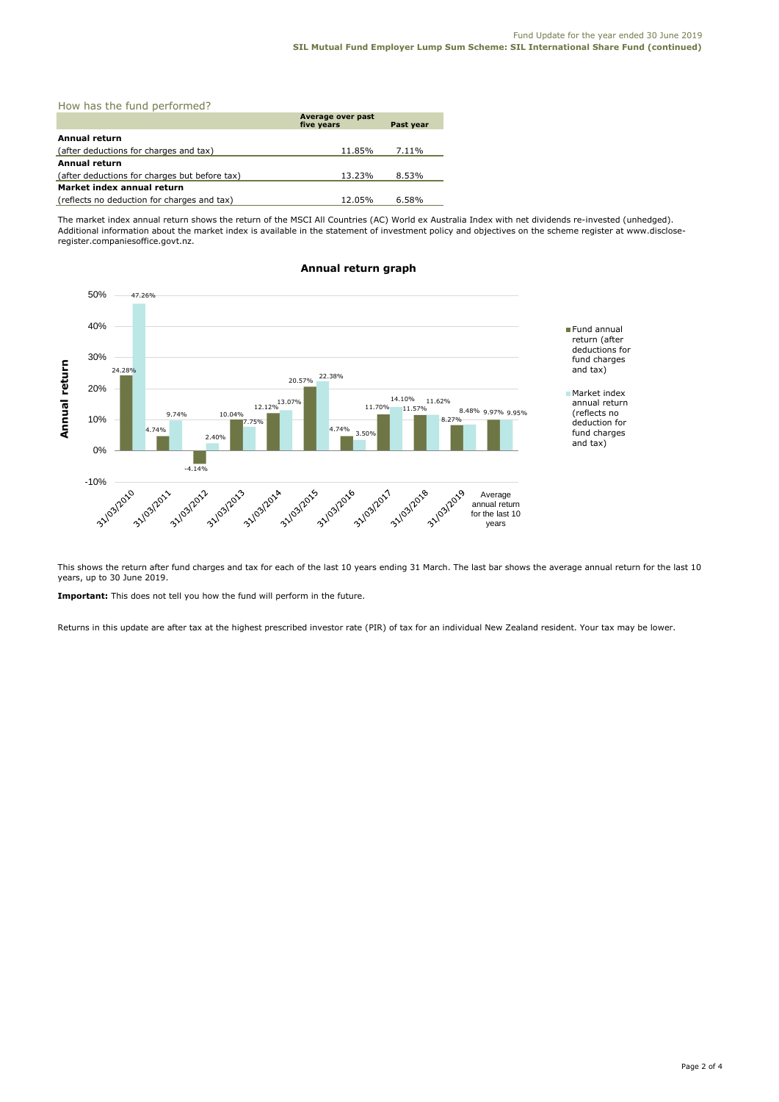| How has the fund performed?                   |                                 |           |  |  |  |
|-----------------------------------------------|---------------------------------|-----------|--|--|--|
|                                               | Average over past<br>five years | Past year |  |  |  |
| Annual return                                 |                                 |           |  |  |  |
| (after deductions for charges and tax)        | 11.85%                          | 7.11%     |  |  |  |
| <b>Annual return</b>                          |                                 |           |  |  |  |
| (after deductions for charges but before tax) | 13.23%                          | 8.53%     |  |  |  |
| Market index annual return                    |                                 |           |  |  |  |
| (reflects no deduction for charges and tax)   | 12.05%                          | 6.58%     |  |  |  |

The market index annual return shows the return of the MSCI All Countries (AC) World ex Australia Index with net dividends re-invested (unhedged). Additional information about the market index is available in the statement of investment policy and objectives on the scheme register at www.discloseregister.companiesoffice.govt.nz.



# **Annual return graph**

This shows the return after fund charges and tax for each of the last 10 years ending 31 March. The last bar shows the average annual return for the last 10 years, up to 30 June 2019.

**Important:** This does not tell you how the fund will perform in the future.

Returns in this update are after tax at the highest prescribed investor rate (PIR) of tax for an individual New Zealand resident. Your tax may be lower.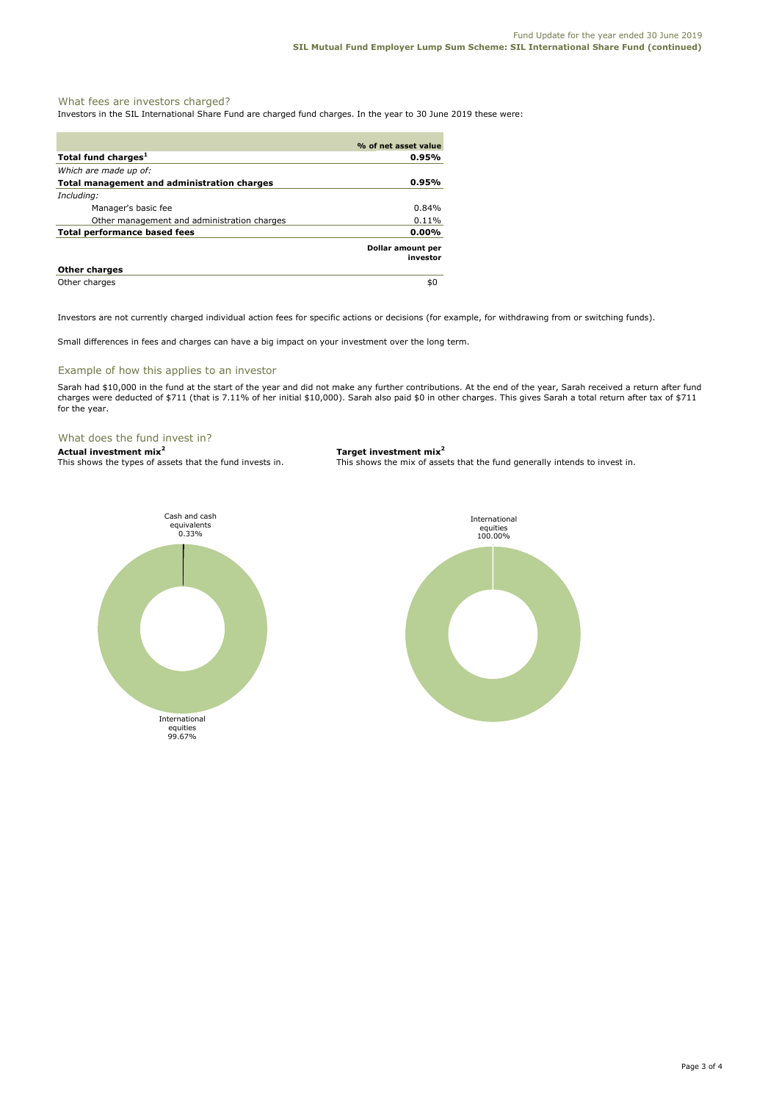# What fees are investors charged?

Investors in the SIL International Share Fund are charged fund charges. In the year to 30 June 2019 these were:

|                                             | % of net asset value          |
|---------------------------------------------|-------------------------------|
| Total fund charges <sup>1</sup>             | 0.95%                         |
| Which are made up of:                       |                               |
| Total management and administration charges | 0.95%                         |
| Including:                                  |                               |
| Manager's basic fee                         | $0.84\%$                      |
| Other management and administration charges | 0.11%                         |
| <b>Total performance based fees</b>         | 0.00%                         |
|                                             | Dollar amount per<br>investor |
| <b>Other charges</b>                        |                               |
| Other charges                               | \$0                           |

Investors are not currently charged individual action fees for specific actions or decisions (for example, for withdrawing from or switching funds).

Small differences in fees and charges can have a big impact on your investment over the long term.

### Example of how this applies to an investor

Sarah had \$10,000 in the fund at the start of the year and did not make any further contributions. At the end of the year, Sarah received a return after fund charges were deducted of \$711 (that is 7.11% of her initial \$10,000). Sarah also paid \$0 in other charges. This gives Sarah a total return after tax of \$711 for the year.

# What does the fund invest in?<br>Actual investment mix<sup>2</sup>

**Actual investment mix<sup>2</sup> <b>Target investment mix**<sup>2</sup> **This shows the types of assets that the fund invests in.** This shows the mix of asset